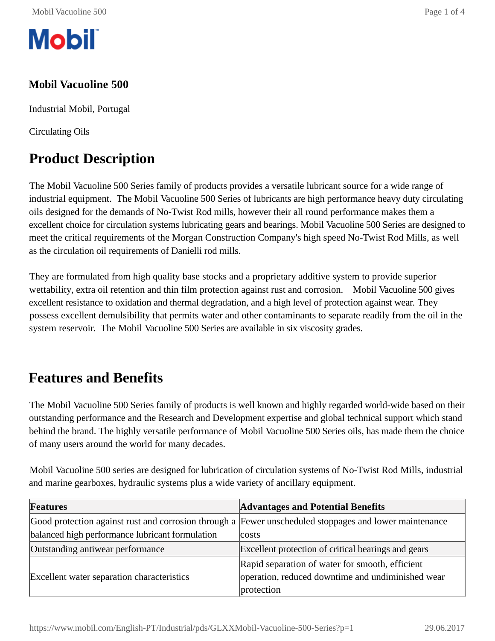

#### **Mobil Vacuoline 500**

Industrial Mobil, Portugal

Circulating Oils

# **Product Description**

The Mobil Vacuoline 500 Series family of products provides a versatile lubricant source for a wide range of industrial equipment. The Mobil Vacuoline 500 Series of lubricants are high performance heavy duty circulating oils designed for the demands of No-Twist Rod mills, however their all round performance makes them a excellent choice for circulation systems lubricating gears and bearings. Mobil Vacuoline 500 Series are designed to meet the critical requirements of the Morgan Construction Company's high speed No-Twist Rod Mills, as well as the circulation oil requirements of Danielli rod mills.

They are formulated from high quality base stocks and a proprietary additive system to provide superior wettability, extra oil retention and thin film protection against rust and corrosion. Mobil Vacuoline 500 gives excellent resistance to oxidation and thermal degradation, and a high level of protection against wear. They possess excellent demulsibility that permits water and other contaminants to separate readily from the oil in the system reservoir. The Mobil Vacuoline 500 Series are available in six viscosity grades.

#### **Features and Benefits**

The Mobil Vacuoline 500 Series family of products is well known and highly regarded world-wide based on their outstanding performance and the Research and Development expertise and global technical support which stand behind the brand. The highly versatile performance of Mobil Vacuoline 500 Series oils, has made them the choice of many users around the world for many decades.

Mobil Vacuoline 500 series are designed for lubrication of circulation systems of No-Twist Rod Mills, industrial and marine gearboxes, hydraulic systems plus a wide variety of ancillary equipment.

| <b>Features</b>                                                                                        | <b>Advantages and Potential Benefits</b>            |  |  |  |  |
|--------------------------------------------------------------------------------------------------------|-----------------------------------------------------|--|--|--|--|
| Good protection against rust and corrosion through a Fewer unscheduled stoppages and lower maintenance |                                                     |  |  |  |  |
| balanced high performance lubricant formulation                                                        | costs                                               |  |  |  |  |
| Outstanding antiwear performance                                                                       | Excellent protection of critical bearings and gears |  |  |  |  |
|                                                                                                        | Rapid separation of water for smooth, efficient     |  |  |  |  |
| Excellent water separation characteristics                                                             | operation, reduced downtime and undiminished wear   |  |  |  |  |
|                                                                                                        | protection                                          |  |  |  |  |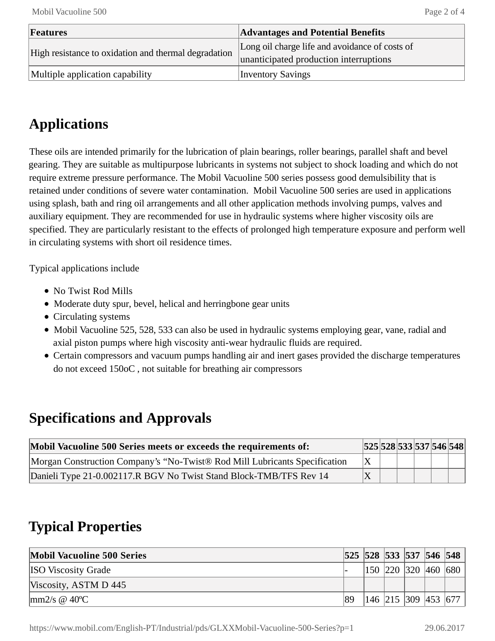| Features                                             | <b>Advantages and Potential Benefits</b>       |  |  |  |
|------------------------------------------------------|------------------------------------------------|--|--|--|
| High resistance to oxidation and thermal degradation | Long oil charge life and avoidance of costs of |  |  |  |
|                                                      | unanticipated production interruptions         |  |  |  |
| Multiple application capability                      | <b>Inventory Savings</b>                       |  |  |  |

# **Applications**

These oils are intended primarily for the lubrication of plain bearings, roller bearings, parallel shaft and bevel gearing. They are suitable as multipurpose lubricants in systems not subject to shock loading and which do not require extreme pressure performance. The Mobil Vacuoline 500 series possess good demulsibility that is retained under conditions of severe water contamination. Mobil Vacuoline 500 series are used in applications using splash, bath and ring oil arrangements and all other application methods involving pumps, valves and auxiliary equipment. They are recommended for use in hydraulic systems where higher viscosity oils are specified. They are particularly resistant to the effects of prolonged high temperature exposure and perform well in circulating systems with short oil residence times.

Typical applications include

- No Twist Rod Mills
- Moderate duty spur, bevel, helical and herringbone gear units
- Circulating systems
- Mobil Vacuoline 525, 528, 533 can also be used in hydraulic systems employing gear, vane, radial and axial piston pumps where high viscosity anti-wear hydraulic fluids are required.
- Certain compressors and vacuum pumps handling air and inert gases provided the discharge temperatures do not exceed 150oC , not suitable for breathing air compressors

## **Specifications and Approvals**

| Mobil Vacuoline 500 Series meets or exceeds the requirements of:           |  |  | 525 528 533 537 546 548 |  |
|----------------------------------------------------------------------------|--|--|-------------------------|--|
| Morgan Construction Company's "No-Twist® Rod Mill Lubricants Specification |  |  |                         |  |
| Danieli Type 21-0.002117.R BGV No Twist Stand Block-TMB/TFS Rev 14         |  |  |                         |  |

## **Typical Properties**

| <b>Mobil Vacuoline 500 Series</b>                |    | 525 528 533 537 546 548 |  |                         |
|--------------------------------------------------|----|-------------------------|--|-------------------------|
| <b>ISO</b> Viscosity Grade                       |    |                         |  | 150  220  320  460  680 |
| Viscosity, ASTM D 445                            |    |                         |  |                         |
| $\text{Im}2/\text{s} \otimes 40^{\circ}\text{C}$ | 89 | 146  215  309  453  677 |  |                         |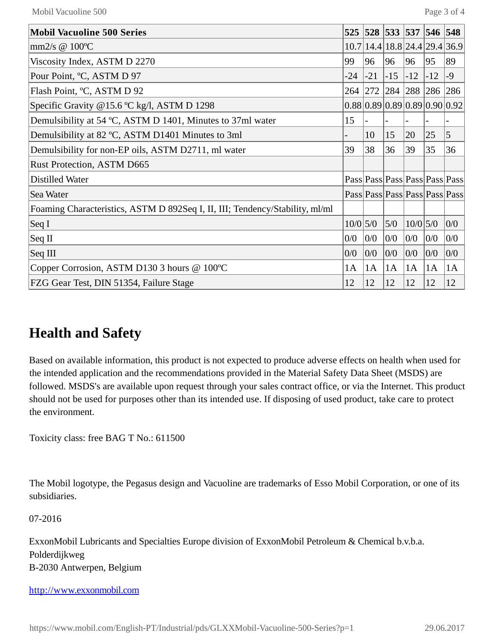| <b>Mobil Vacuoline 500 Series</b>                                            | 525        |       | 528 533 537         |            | 546   | 548                           |
|------------------------------------------------------------------------------|------------|-------|---------------------|------------|-------|-------------------------------|
| mm $2/s \otimes 100^{\circ}C$                                                |            |       |                     |            |       | 10.7 14.4 18.8 24.4 29.4 36.9 |
| Viscosity Index, ASTM D 2270                                                 | 99         | 96    | 96                  | 96         | 95    | 89                            |
| Pour Point, °C, ASTM D 97                                                    | $-24$      | $-21$ | $-15$               | $-12$      | $-12$ | $-9$                          |
| Flash Point, °C, ASTM D 92                                                   |            |       | 264 272 284 288 286 |            |       | 286                           |
| Specific Gravity @15.6 °C kg/l, ASTM D 1298                                  |            |       |                     |            |       | 0.88 0.89 0.89 0.89 0.90 0.92 |
| Demulsibility at 54 °C, ASTM D 1401, Minutes to 37ml water                   | 15         |       |                     |            |       |                               |
| Demulsibility at 82 °C, ASTM D1401 Minutes to 3ml                            |            | 10    | 15                  | 20         | 25    | $\overline{5}$                |
| Demulsibility for non-EP oils, ASTM D2711, ml water                          | 39         | 38    | 36                  | 39         | 35    | 36                            |
| Rust Protection, ASTM D665                                                   |            |       |                     |            |       |                               |
| Distilled Water                                                              |            |       |                     |            |       | Pass Pass Pass Pass Pass Pass |
| Sea Water                                                                    |            |       |                     |            |       | Pass Pass Pass Pass Pass Pass |
| Foaming Characteristics, ASTM D 892Seq I, II, III; Tendency/Stability, ml/ml |            |       |                     |            |       |                               |
| $\operatorname{Seq} I$                                                       | $10/0$ 5/0 |       | 5/0                 | $10/0$ 5/0 |       | 0/0                           |
| $\operatorname{Seq} \Pi$                                                     | 0/0        | 0/0   | 0/0                 | 0/0        | 0/0   | 0/0                           |
| Seq III                                                                      | 0/0        | 0/0   | 0/0                 | 0/0        | 0/0   | 0/0                           |
| Copper Corrosion, ASTM D130 3 hours @ 100°C                                  | 1A         | 1A    | 1A                  | 1A         | 1A    | 1A                            |
| FZG Gear Test, DIN 51354, Failure Stage                                      | 12         | 12    | 12                  | 12         | 12    | 12                            |

### **Health and Safety**

Based on available information, this product is not expected to produce adverse effects on health when used for the intended application and the recommendations provided in the Material Safety Data Sheet (MSDS) are followed. MSDS's are available upon request through your sales contract office, or via the Internet. This product should not be used for purposes other than its intended use. If disposing of used product, take care to protect the environment.

Toxicity class: free BAG T No.: 611500

The Mobil logotype, the Pegasus design and Vacuoline are trademarks of Esso Mobil Corporation, or one of its subsidiaries.

07-2016

ExxonMobil Lubricants and Specialties Europe division of ExxonMobil Petroleum & Chemical b.v.b.a. Polderdijkweg B-2030 Antwerpen, Belgium

[http://www.exxonmobil.com](http://www.exxonmobil.com/)